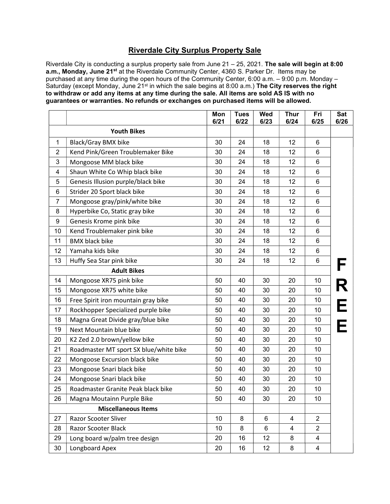## Riverdale City Surplus Property Sale

Riverdale City is conducting a surplus property sale from June 21 - 25, 2021. The sale will begin at 8:00 a.m., Monday, June 21<sup>st</sup> at the Riverdale Community Center, 4360 S. Parker Dr. Items may be purchased at any time during the open hours of the Community Center, 6:00 a.m. – 9:00 p.m. Monday – Saturday (except Monday, June 21<sup>st</sup> in which the sale begins at 8:00 a.m.) The City reserves the right to withdraw or add any items at any time during the sale. All items are sold AS IS with no guarantees or warranties. No refunds or exchanges on purchased items will be allowed.

|                            |                                        | Mon<br>6/21 | <b>Tues</b><br>6/22 | Wed<br>6/23 | <b>Thur</b><br>6/24 | Fri<br>6/25    | Sat<br>6/26 |
|----------------------------|----------------------------------------|-------------|---------------------|-------------|---------------------|----------------|-------------|
|                            | <b>Youth Bikes</b>                     |             |                     |             |                     |                |             |
| $\mathbf{1}$               | <b>Black/Gray BMX bike</b>             | 30          | 24                  | 18          | 12                  | 6              |             |
| $\overline{c}$             | Kend Pink/Green Troublemaker Bike      | 30          | 24                  | 18          | 12                  | 6              |             |
| 3                          | Mongoose MM black bike                 | 30          | 24                  | 18          | 12                  | 6              |             |
| 4                          | Shaun White Co Whip black bike         | 30          | 24                  | 18          | 12                  | 6              |             |
| 5                          | Genesis Illusion purple/black bike     | 30          | 24                  | 18          | 12                  | 6              |             |
| 6                          | Strider 20 Sport black bike            | 30          | 24                  | 18          | 12                  | 6              |             |
| $\overline{7}$             | Mongoose gray/pink/white bike          | 30          | 24                  | 18          | 12                  | 6              |             |
| 8                          | Hyperbike Co, Static gray bike         | 30          | 24                  | 18          | 12                  | 6              |             |
| 9                          | Genesis Krome pink bike                | 30          | 24                  | 18          | 12                  | 6              |             |
| 10                         | Kend Troublemaker pink bike            | 30          | 24                  | 18          | 12                  | 6              |             |
| 11                         | <b>BMX black bike</b>                  | 30          | 24                  | 18          | 12                  | 6              |             |
| 12                         | Yamaha kids bike                       | 30          | 24                  | 18          | 12                  | 6              |             |
| 13                         | Huffy Sea Star pink bike               | 30          | 24                  | 18          | 12                  | 6              |             |
| <b>Adult Bikes</b>         |                                        |             |                     |             |                     |                |             |
| 14                         | Mongoose XR75 pink bike                | 50          | 40                  | 30          | 20                  | 10             |             |
| 15                         | Mongoose XR75 white bike               | 50          | 40                  | 30          | 20                  | 10             |             |
| 16                         | Free Spirit iron mountain gray bike    | 50          | 40                  | 30          | 20                  | 10             |             |
| 17                         | Rockhopper Specialized purple bike     | 50          | 40                  | 30          | 20                  | 10             |             |
| 18                         | Magna Great Divide gray/blue bike      | 50          | 40                  | 30          | 20                  | 10             |             |
| 19                         | Next Mountain blue bike                | 50          | 40                  | 30          | 20                  | 10             |             |
| 20                         | K2 Zed 2.0 brown/yellow bike           | 50          | 40                  | 30          | 20                  | 10             |             |
| 21                         | Roadmaster MT sport SX blue/white bike | 50          | 40                  | 30          | 20                  | 10             |             |
| 22                         | Mongoose Excursion black bike          | 50          | 40                  | 30          | 20                  | 10             |             |
| 23                         | Mongoose Snari black bike              | 50          | 40                  | 30          | 20                  | 10             |             |
| 24                         | Mongoose Snari black bike              | 50          | 40                  | 30          | 20                  | 10             |             |
| 25                         | Roadmaster Granite Peak black bike     | 50          | 40                  | 30          | 20                  | 10             |             |
| 26                         | Magna Moutainn Purple Bike             | 50          | 40                  | 30          | 20                  | 10             |             |
| <b>Miscellaneous Items</b> |                                        |             |                     |             |                     |                |             |
| 27                         | Razor Scooter Sliver                   | 10          | 8                   | 6           | 4                   | $\overline{2}$ |             |
| 28                         | Razor Scooter Black                    | 10          | 8                   | 6           | 4                   | $\overline{2}$ |             |
| 29                         | Long board w/palm tree design          | 20          | 16                  | 12          | 8                   | 4              |             |
| 30                         | Longboard Apex                         | 20          | 16                  | 12          | 8                   | 4              |             |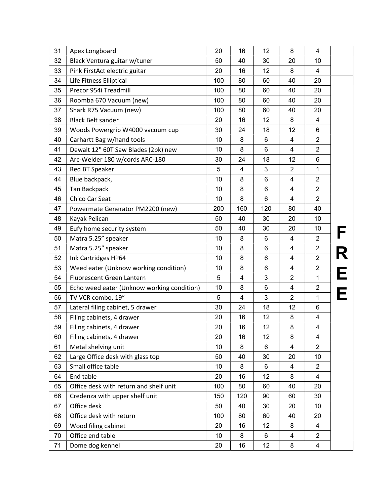| 31 | Apex Longboard                             | 20  | 16                      | 12             | 8                       | 4              |   |
|----|--------------------------------------------|-----|-------------------------|----------------|-------------------------|----------------|---|
| 32 | Black Ventura guitar w/tuner               | 50  | 40                      | 30             | 20                      | 10             |   |
| 33 | Pink FirstAct electric guitar              | 20  | 16                      | 12             | 8                       | 4              |   |
| 34 | Life Fitness Elliptical                    | 100 | 80                      | 60             | 40                      | 20             |   |
| 35 | Precor 954i Treadmill                      | 100 | 80                      | 60             | 40                      | 20             |   |
| 36 | Roomba 670 Vacuum (new)                    | 100 | 80                      | 60             | 40                      | 20             |   |
| 37 | Shark R75 Vacuum (new)                     | 100 | 80                      | 60             | 40                      | 20             |   |
| 38 | <b>Black Belt sander</b>                   | 20  | 16                      | 12             | 8                       | 4              |   |
| 39 | Woods Powergrip W4000 vacuum cup           | 30  | 24                      | 18             | 12                      | 6              |   |
| 40 | Carhartt Bag w/hand tools                  | 10  | 8                       | 6              | $\overline{4}$          | $\overline{c}$ |   |
| 41 | Dewalt 12" 60T Saw Blades (2pk) new        | 10  | 8                       | $6\phantom{1}$ | $\overline{4}$          | $\overline{2}$ |   |
| 42 | Arc-Welder 180 w/cords ARC-180             | 30  | 24                      | 18             | 12                      | 6              |   |
| 43 | Red BT Speaker                             | 5   | 4                       | 3              | $\overline{2}$          | 1              |   |
| 44 | Blue backpack,                             | 10  | 8                       | 6              | 4                       | $\overline{2}$ |   |
| 45 | <b>Tan Backpack</b>                        | 10  | 8                       | 6              | 4                       | $\overline{2}$ |   |
| 46 | <b>Chico Car Seat</b>                      | 10  | 8                       | $6\phantom{1}$ | $\overline{4}$          | $\overline{c}$ |   |
| 47 | Powermate Generator PM2200 (new)           | 200 | 160                     | 120            | 80                      | 40             |   |
| 48 | Kayak Pelican                              | 50  | 40                      | 30             | 20                      | 10             |   |
| 49 | Eufy home security system                  | 50  | 40                      | 30             | 20                      | 10             |   |
| 50 | Matra 5.25" speaker                        | 10  | 8                       | 6              | $\overline{4}$          | $\overline{2}$ |   |
| 51 | Matra 5.25" speaker                        | 10  | 8                       | 6              | 4                       | $\overline{2}$ |   |
| 52 | Ink Cartridges HP64                        | 10  | 8                       | 6              | 4                       | $\overline{c}$ |   |
| 53 | Weed eater (Unknow working condition)      | 10  | 8                       | 6              | $\overline{\mathbf{4}}$ | $\overline{2}$ |   |
| 54 | Fluorescent Green Lantern                  | 5   | $\overline{\mathbf{4}}$ | 3              | $\overline{2}$          | 1              | E |
| 55 | Echo weed eater (Unknow working condition) | 10  | 8                       | 6              | 4                       | $\overline{c}$ |   |
| 56 | TV VCR combo, 19"                          | 5   | $\overline{\mathbf{4}}$ | 3              | $\overline{2}$          | 1              |   |
| 57 | Lateral filing cabinet, 5 drawer           | 30  | 24                      | 18             | 12                      | 6              |   |
| 58 | Filing cabinets, 4 drawer                  | 20  | 16                      | 12             | 8                       | 4              |   |
| 59 | Filing cabinets, 4 drawer                  | 20  | 16                      | 12             | $\bf 8$                 | 4              |   |
| 60 | Filing cabinets, 4 drawer                  | 20  | 16                      | 12             | 8                       | 4              |   |
| 61 | Metal shelving unit                        | 10  | 8                       | 6              | 4                       | $\overline{2}$ |   |
| 62 | Large Office desk with glass top           | 50  | 40                      | 30             | 20                      | 10             |   |
| 63 | Small office table                         | 10  | 8                       | 6              | 4                       | $\overline{2}$ |   |
| 64 | End table                                  | 20  | 16                      | 12             | 8                       | 4              |   |
| 65 | Office desk with return and shelf unit     | 100 | 80                      | 60             | 40                      | 20             |   |
| 66 | Credenza with upper shelf unit             | 150 | 120                     | 90             | 60                      | 30             |   |
| 67 | Office desk                                | 50  | 40                      | 30             | 20                      | 10             |   |
| 68 | Office desk with return                    | 100 | 80                      | 60             | 40                      | 20             |   |
| 69 | Wood filing cabinet                        | 20  | 16                      | 12             | 8                       | 4              |   |
| 70 | Office end table                           | 10  | 8                       | 6              | 4                       | $\overline{2}$ |   |
| 71 | Dome dog kennel                            | 20  | 16                      | 12             | 8                       | 4              |   |